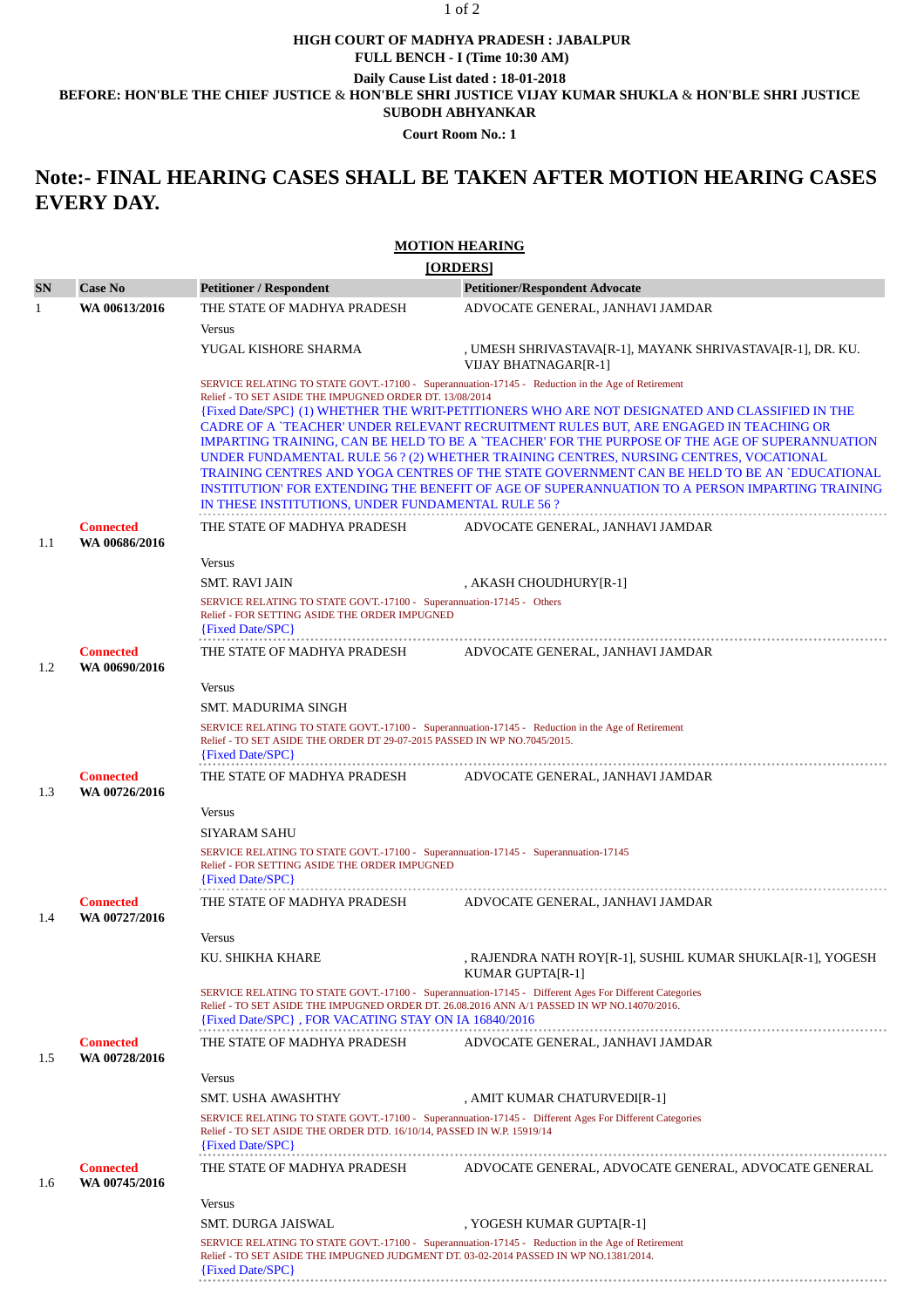## **HIGH COURT OF MADHYA PRADESH : JABALPUR** 1 of 2

**FULL BENCH - I (Time 10:30 AM)**

**Daily Cause List dated : 18-01-2018**

**BEFORE: HON'BLE THE CHIEF JUSTICE** & **HON'BLE SHRI JUSTICE VIJAY KUMAR SHUKLA** & **HON'BLE SHRI JUSTICE**

**SUBODH ABHYANKAR**

**Court Room No.: 1**

## **Note:- FINAL HEARING CASES SHALL BE TAKEN AFTER MOTION HEARING CASES EVERY DAY.**

## **MOTION HEARING**

|                                                                                                                  |                                                                                            |                                                                                                                                                                                                                                                                                                                                                         | [ORDERS]                                                                                                                                                                                                                                                                                                                                                                                 |
|------------------------------------------------------------------------------------------------------------------|--------------------------------------------------------------------------------------------|---------------------------------------------------------------------------------------------------------------------------------------------------------------------------------------------------------------------------------------------------------------------------------------------------------------------------------------------------------|------------------------------------------------------------------------------------------------------------------------------------------------------------------------------------------------------------------------------------------------------------------------------------------------------------------------------------------------------------------------------------------|
| <b>SN</b>                                                                                                        | <b>Case No</b>                                                                             | <b>Petitioner / Respondent</b>                                                                                                                                                                                                                                                                                                                          | <b>Petitioner/Respondent Advocate</b>                                                                                                                                                                                                                                                                                                                                                    |
| 1                                                                                                                | WA 00613/2016                                                                              | THE STATE OF MADHYA PRADESH                                                                                                                                                                                                                                                                                                                             | ADVOCATE GENERAL, JANHAVI JAMDAR                                                                                                                                                                                                                                                                                                                                                         |
|                                                                                                                  |                                                                                            | <b>Versus</b>                                                                                                                                                                                                                                                                                                                                           |                                                                                                                                                                                                                                                                                                                                                                                          |
|                                                                                                                  |                                                                                            | YUGAL KISHORE SHARMA                                                                                                                                                                                                                                                                                                                                    | , UMESH SHRIVASTAVA[R-1], MAYANK SHRIVASTAVA[R-1], DR. KU.<br><b>VIJAY BHATNAGARIR-11</b>                                                                                                                                                                                                                                                                                                |
|                                                                                                                  |                                                                                            | SERVICE RELATING TO STATE GOVT.-17100 - Superannuation-17145 - Reduction in the Age of Retirement<br>Relief - TO SET ASIDE THE IMPUGNED ORDER DT. 13/08/2014<br>{Fixed Date/SPC} (1) WHETHER THE WRIT-PETITIONERS WHO ARE NOT DESIGNATED AND CLASSIFIED IN THE<br>CADRE OF A `TEACHER' UNDER RELEVANT RECRUITMENT RULES BUT, ARE ENGAGED IN TEACHING OR |                                                                                                                                                                                                                                                                                                                                                                                          |
|                                                                                                                  |                                                                                            | IN THESE INSTITUTIONS, UNDER FUNDAMENTAL RULE 56 ?                                                                                                                                                                                                                                                                                                      | IMPARTING TRAINING, CAN BE HELD TO BE A `TEACHER' FOR THE PURPOSE OF THE AGE OF SUPERANNUATION<br>UNDER FUNDAMENTAL RULE 56 ? (2) WHETHER TRAINING CENTRES, NURSING CENTRES, VOCATIONAL<br>TRAINING CENTRES AND YOGA CENTRES OF THE STATE GOVERNMENT CAN BE HELD TO BE AN `EDUCATIONAL<br>INSTITUTION' FOR EXTENDING THE BENEFIT OF AGE OF SUPERANNUATION TO A PERSON IMPARTING TRAINING |
|                                                                                                                  | <b>Connected</b>                                                                           | THE STATE OF MADHYA PRADESH                                                                                                                                                                                                                                                                                                                             | ADVOCATE GENERAL, JANHAVI JAMDAR                                                                                                                                                                                                                                                                                                                                                         |
| 1.1                                                                                                              | WA 00686/2016                                                                              | <b>Versus</b>                                                                                                                                                                                                                                                                                                                                           |                                                                                                                                                                                                                                                                                                                                                                                          |
|                                                                                                                  |                                                                                            | <b>SMT. RAVI JAIN</b>                                                                                                                                                                                                                                                                                                                                   | , AKASH CHOUDHURY [R-1]                                                                                                                                                                                                                                                                                                                                                                  |
|                                                                                                                  |                                                                                            | SERVICE RELATING TO STATE GOVT.-17100 - Superannuation-17145 - Others<br>Relief - FOR SETTING ASIDE THE ORDER IMPUGNED<br>$\{Fixed Date/SPC\}$                                                                                                                                                                                                          |                                                                                                                                                                                                                                                                                                                                                                                          |
| 1.2                                                                                                              | <b>Connected</b><br>WA 00690/2016                                                          | THE STATE OF MADHYA PRADESH                                                                                                                                                                                                                                                                                                                             | ADVOCATE GENERAL, JANHAVI JAMDAR                                                                                                                                                                                                                                                                                                                                                         |
|                                                                                                                  |                                                                                            | <b>Versus</b>                                                                                                                                                                                                                                                                                                                                           |                                                                                                                                                                                                                                                                                                                                                                                          |
|                                                                                                                  |                                                                                            | SMT. MADURIMA SINGH                                                                                                                                                                                                                                                                                                                                     |                                                                                                                                                                                                                                                                                                                                                                                          |
|                                                                                                                  |                                                                                            | SERVICE RELATING TO STATE GOVT.-17100 - Superannuation-17145 - Reduction in the Age of Retirement<br>Relief - TO SET ASIDE THE ORDER DT 29-07-2015 PASSED IN WP NO.7045/2015.<br>{Fixed Date/SPC}                                                                                                                                                       |                                                                                                                                                                                                                                                                                                                                                                                          |
| 1.3                                                                                                              | <b>Connected</b><br>WA 00726/2016                                                          | THE STATE OF MADHYA PRADESH                                                                                                                                                                                                                                                                                                                             | ADVOCATE GENERAL, JANHAVI JAMDAR                                                                                                                                                                                                                                                                                                                                                         |
|                                                                                                                  |                                                                                            | <b>Versus</b>                                                                                                                                                                                                                                                                                                                                           |                                                                                                                                                                                                                                                                                                                                                                                          |
|                                                                                                                  |                                                                                            | <b>SIYARAM SAHU</b>                                                                                                                                                                                                                                                                                                                                     |                                                                                                                                                                                                                                                                                                                                                                                          |
|                                                                                                                  |                                                                                            | SERVICE RELATING TO STATE GOVT.-17100 - Superannuation-17145 - Superannuation-17145<br>Relief - FOR SETTING ASIDE THE ORDER IMPUGNED<br>{Fixed Date/SPC}                                                                                                                                                                                                |                                                                                                                                                                                                                                                                                                                                                                                          |
| 1.4                                                                                                              | <b>Connected</b><br>WA 00727/2016                                                          | THE STATE OF MADHYA PRADESH                                                                                                                                                                                                                                                                                                                             | ADVOCATE GENERAL, JANHAVI JAMDAR                                                                                                                                                                                                                                                                                                                                                         |
|                                                                                                                  |                                                                                            | <b>Versus</b>                                                                                                                                                                                                                                                                                                                                           |                                                                                                                                                                                                                                                                                                                                                                                          |
|                                                                                                                  |                                                                                            | KU. SHIKHA KHARE                                                                                                                                                                                                                                                                                                                                        | , RAJENDRA NATH ROY[R-1], SUSHIL KUMAR SHUKLA[R-1], YOGESH<br><b>KUMAR GUPTA[R-1]</b>                                                                                                                                                                                                                                                                                                    |
|                                                                                                                  |                                                                                            | SERVICE RELATING TO STATE GOVT.-17100 - Superannuation-17145 - Different Ages For Different Categories<br>Relief - TO SET ASIDE THE IMPUGNED ORDER DT. 26.08.2016 ANN A/1 PASSED IN WP NO.14070/2016.<br>{Fixed Date/SPC}, FOR VACATING STAY ON IA 16840/2016                                                                                           |                                                                                                                                                                                                                                                                                                                                                                                          |
| 1.5                                                                                                              | <b>Connected</b><br>WA 00728/2016                                                          | THE STATE OF MADHYA PRADESH                                                                                                                                                                                                                                                                                                                             | ADVOCATE GENERAL, JANHAVI JAMDAR                                                                                                                                                                                                                                                                                                                                                         |
|                                                                                                                  |                                                                                            | <b>Versus</b>                                                                                                                                                                                                                                                                                                                                           |                                                                                                                                                                                                                                                                                                                                                                                          |
|                                                                                                                  |                                                                                            | <b>SMT. USHA AWASHTHY</b>                                                                                                                                                                                                                                                                                                                               | , AMIT KUMAR CHATURVEDI[R-1]                                                                                                                                                                                                                                                                                                                                                             |
|                                                                                                                  | Relief - TO SET ASIDE THE ORDER DTD. 16/10/14, PASSED IN W.P. 15919/14<br>{Fixed Date/SPC} |                                                                                                                                                                                                                                                                                                                                                         | SERVICE RELATING TO STATE GOVT.-17100 - Superannuation-17145 - Different Ages For Different Categories                                                                                                                                                                                                                                                                                   |
| 1.6                                                                                                              | <b>Connected</b><br>WA 00745/2016                                                          | THE STATE OF MADHYA PRADESH                                                                                                                                                                                                                                                                                                                             | ADVOCATE GENERAL, ADVOCATE GENERAL, ADVOCATE GENERAL                                                                                                                                                                                                                                                                                                                                     |
|                                                                                                                  |                                                                                            | <b>Versus</b>                                                                                                                                                                                                                                                                                                                                           |                                                                                                                                                                                                                                                                                                                                                                                          |
|                                                                                                                  |                                                                                            | SMT. DURGA JAISWAL                                                                                                                                                                                                                                                                                                                                      | , YOGESH KUMAR GUPTA[R-1]                                                                                                                                                                                                                                                                                                                                                                |
| Relief - TO SET ASIDE THE IMPUGNED JUDGMENT DT. 03-02-2014 PASSED IN WP NO.1381/2014.<br><b>{Fixed Date/SPC}</b> |                                                                                            | SERVICE RELATING TO STATE GOVT.-17100 - Superannuation-17145 - Reduction in the Age of Retirement                                                                                                                                                                                                                                                       |                                                                                                                                                                                                                                                                                                                                                                                          |
|                                                                                                                  |                                                                                            |                                                                                                                                                                                                                                                                                                                                                         |                                                                                                                                                                                                                                                                                                                                                                                          |